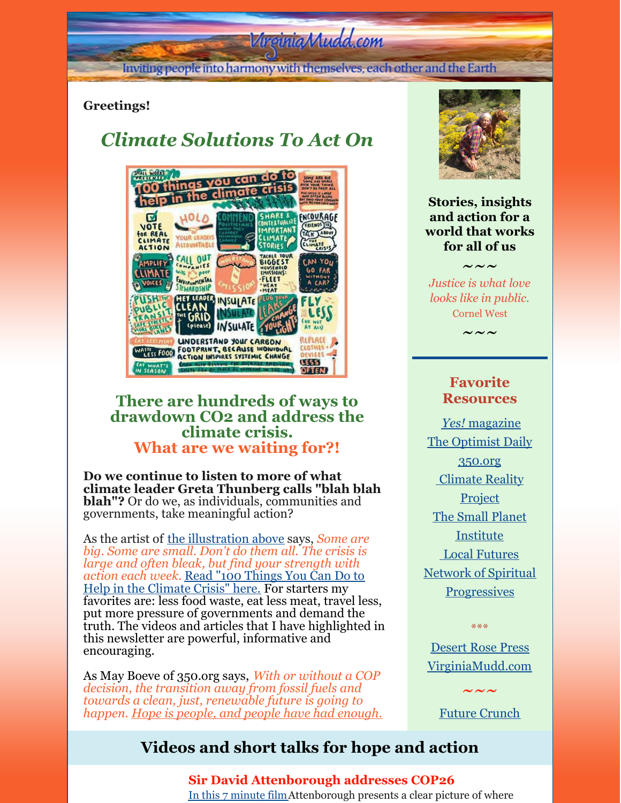# Virginia Mudd.com

Inviting people into harmony with themselves, each other and the Earth

### **Greetings!**

# *Climate Solutions To Act On*



## **There are hundreds of ways to drawdown CO2 and address the climate crisis. What are we waiting for?!**

**Do we continue to listen to more of what climate leader Greta Thunberg calls "blah blah blah"?** Or do we, as individuals, communities and governments, take meaningful action?

As the artist of the [illustration](https://www.yesmagazine.org/issue/a-new-social-justice/2021/11/15/climate-crisis-100-ways-to-help) above says, *Some are big. Some are small. Don't do them all. The crisis is large and often bleak, but find your strength with action each week.* Read "100 Things You Can Do to Help in the [Climate](https://www.yesmagazine.org/issue/a-new-social-justice/2021/11/15/climate-crisis-100-ways-to-help) Crisis" here. For starters my favorites are: less food waste, eat less meat, travel less, put more pressure of governments and demand the truth. The videos and articles that I have highlighted in this newsletter are powerful, informative and encouraging.

As May Boeve of 350.org says, *With or without a COP decision, the transition away from fossil fuels and towards a clean, just, renewable future is going to happen. Hope is people, and people have had enough.*



**Stories, insights and action for a world that works for all of us**

*Justice is what love looks like in public.* Cornel West

 $\sim\,\sim\,\sim$ 

 $\sim\sim\sim$ 

### **Favorite Resources**

*[Yes!](http://www.yesmagazine.org/)* [magazine](http://www.yesmagazine.org/) The [Optimist](https://worldbusiness.org/optimist/) Daily [350.org](http://350.org/) [Climate](https://www.climaterealityproject.org/) Reality **Project** The Small Planet [Institute](http://smallplanet.org/) Local [Futures](http://www.localfutures.org/) Network of Spiritual **[Progressives](http://spiritualprogressives.org/newsite/)** 

\*\*\*

[Desert](http://desertrosepress.com) Rose Press [VirginiaMudd.com](http://virginiamudd.com/index.html)

Future [Crunch](https://futurecrun.ch/goodnews)

 $\sim\,\sim\,\sim$ 

## **Videos and short talks for hope and action**

**Sir David Attenborough addresses COP26** In this 7 [minute](https://www.youtube.com/watch?v=A6SO0xkr_uI) filmAttenborough presents a clear picture of where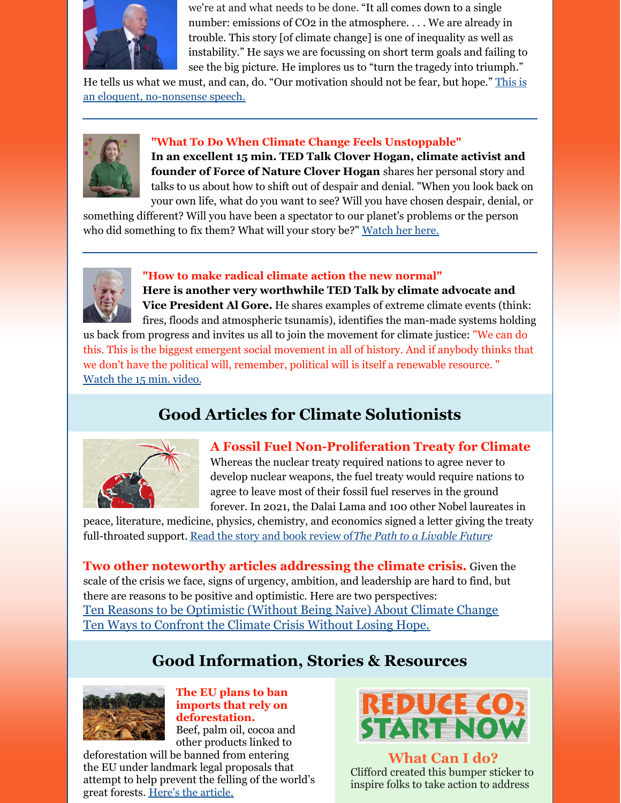

we're at and what needs to be done. "It all comes down to a single number: emissions of CO2 in the atmosphere.... We are already in trouble. This story [of climate change] is one of inequality as well as instability." He says we are focussing on short term goals and failing to see the big picture. He implores us to "turn the tragedy into triumph."

He tells us what we must, and can, do. "Our motivation should not be fear, but hope." This is an eloquent, [no-nonsense](https://www.youtube.com/watch?v=A6SO0xkr_uI) speech.



### **"What To Do When Climate Change Feels Unstoppable"**

**In an excellent 15 min. TED Talk Clover Hogan, climate activist and founder of Force of Nature Clover Hogan** shares her personal story and talks to us about how to shift out of despair and denial. "When you look back on your own life, what do you want to see? Will you have chosen despair, denial, or

something different? Will you have been a spectator to our planet's problems or the person who did something to fix them? What will your story be?" [Watch](https://www.ted.com/talks/clover_hogan_what_to_do_when_climate_change_feels_unstoppable/transcript?language=en#t-747332) her here.



### **"How to make radical climate action the new normal"**

**Here is another very worthwhile TED Talk by climate advocate and Vice President Al Gore.** He shares examples of extreme climate events (think: fires, floods and atmospheric tsunamis), identifies the man-made systems holding

us back from progress and invites us all to join the movement for climate justice: "We can do this. This is the biggest emergent social movement in all of history. And if anybody thinks that we don't have the political will, remember, political will is itself a renewable resource. " [Watch](https://www.ted.com/talks/al_gore_how_to_make_radical_climate_action_the_new_normal?emci=c7c4ead9-b23c-ec11-9820-c896653b26c8&emdi=3d9ddb08-b63c-ec11-9820-c896653b26c8&ceid=509364) the 15 min. video.

# **Good Articles for Climate Solutionists**



### **A Fossil Fuel Non-Proliferation Treaty for Climate**

Whereas the nuclear treaty required nations to agree never to develop nuclear weapons, the fuel treaty would require nations to agree to leave most of their fossil fuel reserves in the ground forever. In 2021, the Dalai Lama and 100 other Nobel laureates in

peace, literature, medicine, physics, chemistry, and economics signed a letter giving the treaty full-throated support. Read the story and book [review](https://www.yesmagazine.org/environment/2021/11/09/climate-change-carbon-emissions-fossil-fuel-treaty?utm_medium=email&utm_campaign=YESDaily_2021110&utm_content=YESDaily_2021110+CID_459839677072c907ad6b1cb20e10cf95&utm_source=CM&utm_term=Read the book excerpt) of*The Path to a [Livable](https://www.yesmagazine.org/environment/2021/11/09/climate-change-carbon-emissions-fossil-fuel-treaty?utm_medium=email&utm_campaign=YESDaily_2021110&utm_content=YESDaily_2021110+CID_459839677072c907ad6b1cb20e10cf95&utm_source=CM&utm_term=Read the book excerpt) Future*

**Two other noteworthy articles addressing the climate crisis.** Given the scale of the crisis we face, signs of urgency, ambition, and leadership are hard to find, but there are reasons to be positive and optimistic. Here are two perspectives: Ten Reasons to be [Optimistic](https://www.yesmagazine.org/environment/2021/11/05/climate-change-optimism?utm_medium=email&utm_campaign=YESDaily_20211109&utm_content=YESDaily_20211109+CID_28385610e22e650b3ee492db0fa10bce&utm_source=CM&utm_term=10 Reasons to Be Optimistic About Climate Change) (Without Being Naive) About Climate Change Ten Ways to [Confront](https://www.theguardian.com/environment/2021/nov/18/ten-ways-confront-climate-crisis-without-losing-hope-rebecca-solnit-reconstruction-after-covid?CMP=Share_iOSApp_Other) the Climate Crisis Without Losing Hope.

# **Good Information, Stories & Resources**



**The EU plans to ban imports that rely on deforestation.**

Beef, palm oil, cocoa and other products linked to

deforestation will be banned from entering the EU under landmark legal proposals that attempt to help prevent the felling of the world's great forests. Here's the [article.](https://www.theguardian.com/environment/2021/nov/17/eu-deforestation-beef-coffee-import-ban-commodities-endangered-forests)



**What Can I do?** Clifford created this bumper sticker to inspire folks to take action to address